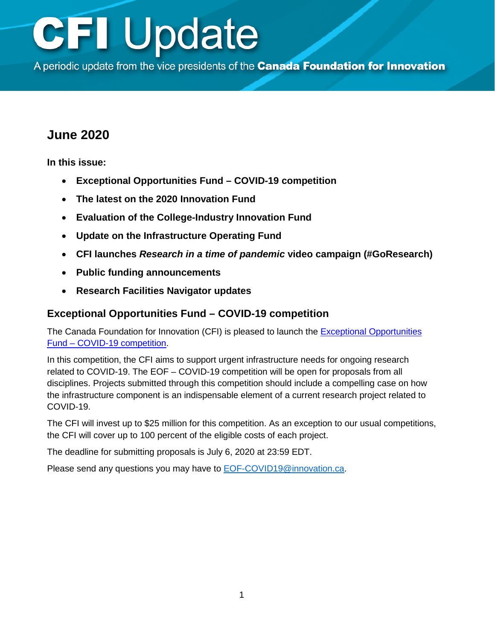A periodic update from the vice presidents of the Canada Foundation for Innovation

# **June 2020**

**In this issue:**

- **Exceptional Opportunities Fund – COVID-19 competition**
- **[The latest on the 2020 Innovation Fund](#page-1-0)**
- **[Evaluation of the College-Industry Innovation Fund](#page-1-0)**
- **[Update on the Infrastructure Operating Fund](#page-1-0)**
- **CFI launches** *[Research in a time of pandemic](#page-3-0)* **video campaign (#GoResearch)**
- **[Public funding announcements](#page-3-0)**
- **[Research Facilities Navigator updates](#page-3-0)**

## **Exceptional Opportunities Fund – COVID-19 competition**

The Canada Foundation for Innovation (CFI) is pleased to launch the [Exceptional Opportunities](https://www.innovation.ca/awards/exceptional-opportunities-fund-covid-19)  Fund – COVID-19 [competition.](https://www.innovation.ca/awards/exceptional-opportunities-fund-covid-19)

In this competition, the CFI aims to support urgent infrastructure needs for ongoing research related to COVID-19. The EOF – COVID-19 competition will be open for proposals from all disciplines. Projects submitted through this competition should include a compelling case on how the infrastructure component is an indispensable element of a current research project related to COVID-19.

The CFI will invest up to \$25 million for this competition. As an exception to our usual competitions, the CFI will cover up to 100 percent of the eligible costs of each project.

The deadline for submitting proposals is July 6, 2020 at 23:59 EDT.

Please send any questions you may have to [EOF-COVID19@innovation.ca.](mailto:EOF-COVID19@innovation.ca)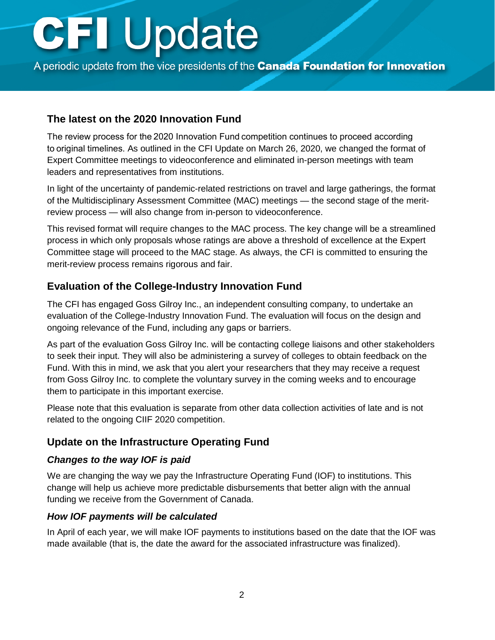<span id="page-1-0"></span>A periodic update from the vice presidents of the Canada Foundation for Innovation

### **The latest on the 2020 Innovation Fund**

The review process for the 2020 Innovation Fund competition continues to proceed according to original timelines. As outlined in the CFI Update on March 26, 2020, we changed the format of Expert Committee meetings to videoconference and eliminated in-person meetings with team leaders and representatives from institutions.

In light of the uncertainty of pandemic-related restrictions on travel and large gatherings, the format of the Multidisciplinary Assessment Committee (MAC) meetings — the second stage of the meritreview process — will also change from in-person to videoconference.

This revised format will require changes to the MAC process. The key change will be a streamlined process in which only proposals whose ratings are above a threshold of excellence at the Expert Committee stage will proceed to the MAC stage. As always, the CFI is committed to ensuring the merit-review process remains rigorous and fair.

### **Evaluation of the College-Industry Innovation Fund**

The CFI has engaged Goss Gilroy Inc., an independent consulting company, to undertake an evaluation of the College-Industry Innovation Fund. The evaluation will focus on the design and ongoing relevance of the Fund, including any gaps or barriers.

As part of the evaluation Goss Gilroy Inc. will be contacting college liaisons and other stakeholders to seek their input. They will also be administering a survey of colleges to obtain feedback on the Fund. With this in mind, we ask that you alert your researchers that they may receive a request from Goss Gilroy Inc. to complete the voluntary survey in the coming weeks and to encourage them to participate in this important exercise.

Please note that this evaluation is separate from other data collection activities of late and is not related to the ongoing CIIF 2020 competition.

# **Update on the Infrastructure Operating Fund**

### *Changes to the way IOF is paid*

We are changing the way we pay the [Infrastructure Operating Fund \(IOF\)](https://www.innovation.ca/awards/infrastructure-operating-fund) to institutions. This change will help us achieve more predictable disbursements that better align with the annual funding we receive from the Government of Canada.

### *How IOF payments will be calculated*

In April of each year, we will make IOF payments to institutions based on the date that the IOF was made available (that is, the date the award for the associated infrastructure was finalized).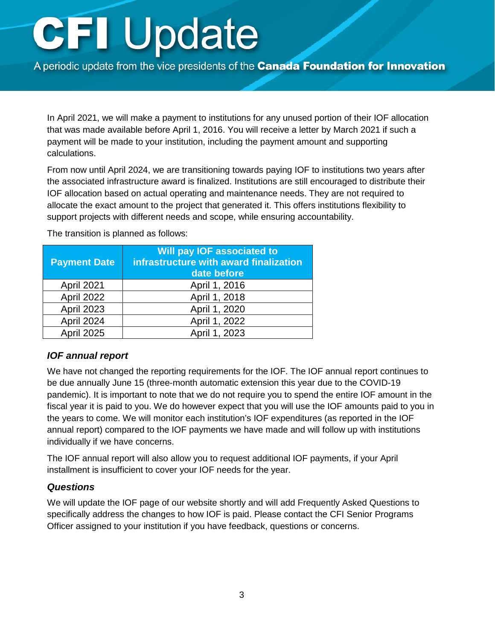A periodic update from the vice presidents of the Canada Foundation for Innovation

In April 2021, we will make a payment to institutions for any unused portion of their IOF allocation that was made available before April 1, 2016. You will receive a letter by March 2021 if such a payment will be made to your institution, including the payment amount and supporting calculations.

From now until April 2024, we are transitioning towards paying IOF to institutions two years after the associated infrastructure award is finalized. Institutions are still encouraged to distribute their IOF allocation based on actual operating and maintenance needs. They are not required to allocate the exact amount to the project that generated it. This offers institutions flexibility to support projects with different needs and scope, while ensuring accountability.

The transition is planned as follows:

| <b>Payment Date</b> | Will pay IOF associated to<br>infrastructure with award finalization<br>date before |
|---------------------|-------------------------------------------------------------------------------------|
| April 2021          | April 1, 2016                                                                       |
| April 2022          | April 1, 2018                                                                       |
| April 2023          | April 1, 2020                                                                       |
| April 2024          | April 1, 2022                                                                       |
| April 2025          | April 1, 2023                                                                       |

### *IOF annual report*

We have not changed the reporting requirements for the IOF. The IOF annual report continues to be due annually June 15 (three-month automatic extension this year due to the COVID-19 pandemic). It is important to note that we do not require you to spend the entire IOF amount in the fiscal year it is paid to you. We do however expect that you will use the IOF amounts paid to you in the years to come. We will monitor each institution's IOF expenditures (as reported in the IOF annual report) compared to the IOF payments we have made and will follow up with institutions individually if we have concerns.

The IOF annual report will also allow you to request additional IOF payments, if your April installment is insufficient to cover your IOF needs for the year.

#### *Questions*

We will update the IOF page of our website shortly and will add Frequently Asked Questions to specifically address the changes to how IOF is paid. Please contact the CFI Senior Programs Officer assigned to your institution if you have feedback, questions or concerns.